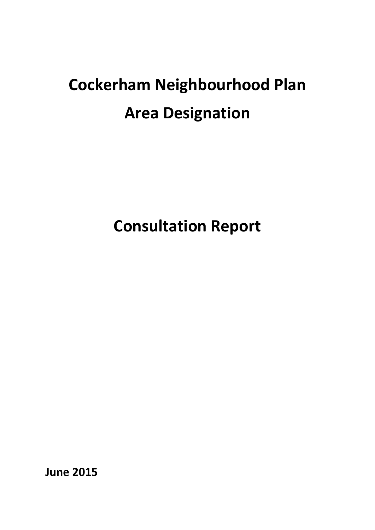# **Cockerham Neighbourhood Plan Area Designation**

**Consultation Report**

**June 2015**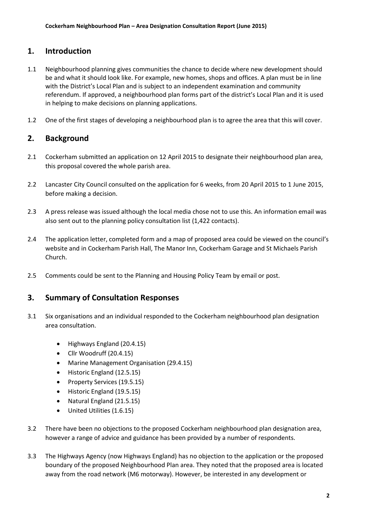### **1. Introduction**

- 1.1 Neighbourhood planning gives communities the chance to decide where new development should be and what it should look like. For example, new homes, shops and offices. A plan must be in line with the District's Local Plan and is subject to an independent examination and community referendum. If approved, a neighbourhood plan forms part of the district's Local Plan and it is used in helping to make decisions on planning applications.
- 1.2 One of the first stages of developing a neighbourhood plan is to agree the area that this will cover.

## **2. Background**

- 2.1 Cockerham submitted an application on 12 April 2015 to designate their neighbourhood plan area, this proposal covered the whole parish area.
- 2.2 Lancaster City Council consulted on the application for 6 weeks, from 20 April 2015 to 1 June 2015, before making a decision.
- 2.3 A press release was issued although the local media chose not to use this. An information email was also sent out to the planning policy consultation list (1,422 contacts).
- 2.4 The application letter, completed form and a map of proposed area could be viewed on the council's website and in Cockerham Parish Hall, The Manor Inn, Cockerham Garage and St Michaels Parish Church.
- 2.5 Comments could be sent to the Planning and Housing Policy Team by email or post.

### **3. Summary of Consultation Responses**

- 3.1 Six organisations and an individual responded to the Cockerham neighbourhood plan designation area consultation.
	- Highways England (20.4.15)
	- Cllr Woodruff (20.4.15)
	- Marine Management Organisation (29.4.15)
	- Historic England (12.5.15)
	- Property Services (19.5.15)
	- Historic England (19.5.15)
	- Natural England (21.5.15)
	- United Utilities (1.6.15)
- 3.2 There have been no objections to the proposed Cockerham neighbourhood plan designation area, however a range of advice and guidance has been provided by a number of respondents.
- 3.3 The Highways Agency (now Highways England) has no objection to the application or the proposed boundary of the proposed Neighbourhood Plan area. They noted that the proposed area is located away from the road network (M6 motorway). However, be interested in any development or